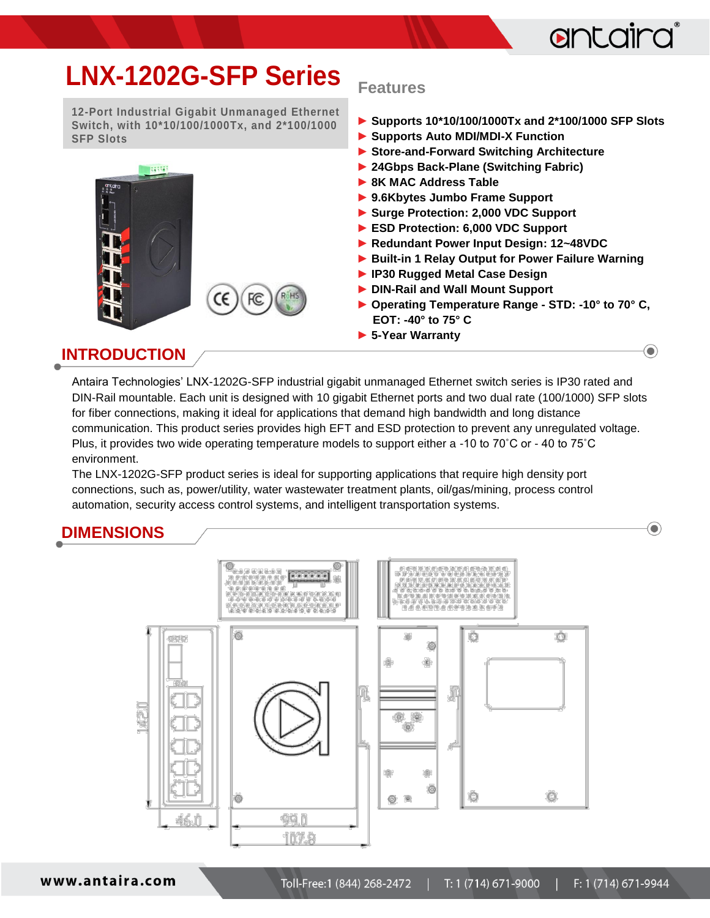

 $\bigcirc$ 

 $\textcolor{blue}{\bullet}$ 

## **LNX-1202G-SFP Series**

**12-Port Industrial Gigabit Unmanaged Ethernet Switch, with 10\*10/100/1000Tx, and 2\*100/1000 SFP Slots**

FC

Œ

**R**HS

1645546

#### **Features**

- **► Supports 10\*10/100/1000Tx and 2\*100/1000 SFP Slots**
- **► Supports Auto MDI/MDI-X Function**
- **► Store-and-Forward Switching Architecture**
- **► 24Gbps Back-Plane (Switching Fabric)**
- **► 8K MAC Address Table**
- **► 9.6Kbytes Jumbo Frame Support**
- **► Surge Protection: 2,000 VDC Support**
- **► ESD Protection: 6,000 VDC Support**
- **► Redundant Power Input Design: 12~48VDC**
- **► Built-in 1 Relay Output for Power Failure Warning**
- **► IP30 Rugged Metal Case Design**
- **► DIN-Rail and Wall Mount Support**
- **► Operating Temperature Range - STD: -10° to 70° C, EOT: -40° to 75° C**
- **► 5-Year Warranty**

### **INTRODUCTION**

Antaira Technologies' LNX-1202G-SFP industrial gigabit unmanaged Ethernet switch series is IP30 rated and DIN-Rail mountable. Each unit is designed with 10 gigabit Ethernet ports and two dual rate (100/1000) SFP slots for fiber connections, making it ideal for applications that demand high bandwidth and long distance communication. This product series provides high EFT and ESD protection to prevent any unregulated voltage. Plus, it provides two wide operating temperature models to support either a -10 to 70˚C or - 40 to 75˚C environment.

The LNX-1202G-SFP product series is ideal for supporting applications that require high density port connections, such as, power/utility, water wastewater treatment plants, oil/gas/mining, process control automation, security access control systems, and intelligent transportation systems.

### **DIMENSIONS**



www.antaira.com